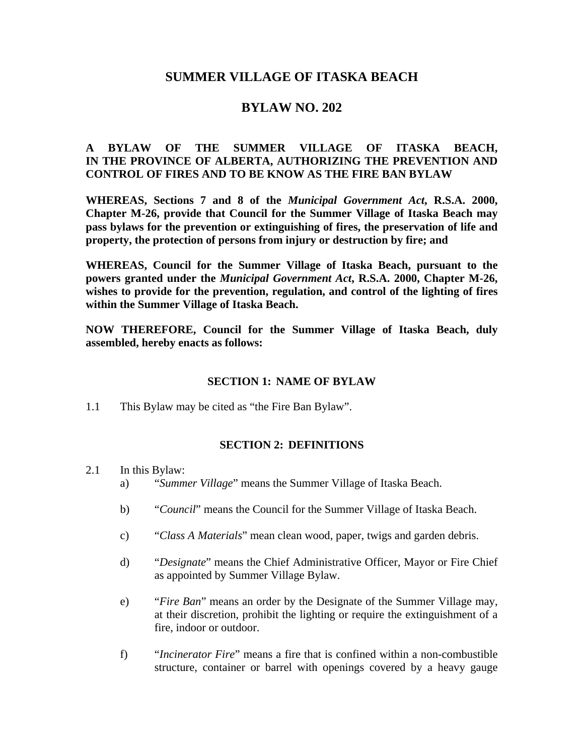# **SUMMER VILLAGE OF ITASKA BEACH**

## **BYLAW NO. 202**

## **A BYLAW OF THE SUMMER VILLAGE OF ITASKA BEACH, IN THE PROVINCE OF ALBERTA, AUTHORIZING THE PREVENTION AND CONTROL OF FIRES AND TO BE KNOW AS THE FIRE BAN BYLAW**

**WHEREAS, Sections 7 and 8 of the** *Municipal Government Act***, R.S.A. 2000, Chapter M-26, provide that Council for the Summer Village of Itaska Beach may pass bylaws for the prevention or extinguishing of fires, the preservation of life and property, the protection of persons from injury or destruction by fire; and** 

**WHEREAS, Council for the Summer Village of Itaska Beach, pursuant to the powers granted under the** *Municipal Government Act***, R.S.A. 2000, Chapter M-26, wishes to provide for the prevention, regulation, and control of the lighting of fires within the Summer Village of Itaska Beach.** 

**NOW THEREFORE, Council for the Summer Village of Itaska Beach, duly assembled, hereby enacts as follows:** 

#### **SECTION 1: NAME OF BYLAW**

1.1 This Bylaw may be cited as "the Fire Ban Bylaw".

#### **SECTION 2: DEFINITIONS**

- 2.1 In this Bylaw:
	- a) "*Summer Village*" means the Summer Village of Itaska Beach.
	- b) "*Council*" means the Council for the Summer Village of Itaska Beach.
	- c) "*Class A Materials*" mean clean wood, paper, twigs and garden debris.
	- d) "*Designate*" means the Chief Administrative Officer, Mayor or Fire Chief as appointed by Summer Village Bylaw.
	- e) "*Fire Ban*" means an order by the Designate of the Summer Village may, at their discretion, prohibit the lighting or require the extinguishment of a fire, indoor or outdoor.
	- f) "*Incinerator Fire*" means a fire that is confined within a non-combustible structure, container or barrel with openings covered by a heavy gauge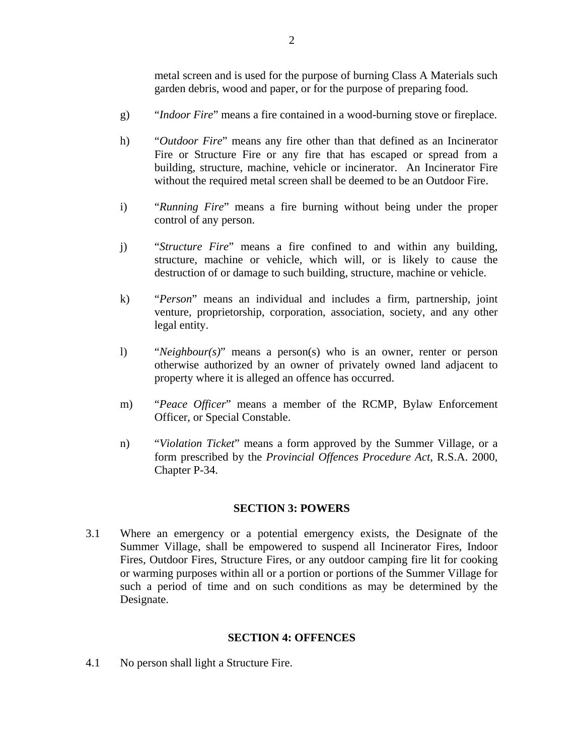metal screen and is used for the purpose of burning Class A Materials such garden debris, wood and paper, or for the purpose of preparing food.

- g) "*Indoor Fire*" means a fire contained in a wood-burning stove or fireplace.
- h) "*Outdoor Fire*" means any fire other than that defined as an Incinerator Fire or Structure Fire or any fire that has escaped or spread from a building, structure, machine, vehicle or incinerator. An Incinerator Fire without the required metal screen shall be deemed to be an Outdoor Fire.
- i) "*Running Fire*" means a fire burning without being under the proper control of any person.
- j) "*Structure Fire*" means a fire confined to and within any building, structure, machine or vehicle, which will, or is likely to cause the destruction of or damage to such building, structure, machine or vehicle.
- k) "*Person*" means an individual and includes a firm, partnership, joint venture, proprietorship, corporation, association, society, and any other legal entity.
- l) "*Neighbour(s)*" means a person(s) who is an owner, renter or person otherwise authorized by an owner of privately owned land adjacent to property where it is alleged an offence has occurred.
- m) "*Peace Officer*" means a member of the RCMP, Bylaw Enforcement Officer, or Special Constable.
- n) "*Violation Ticket*" means a form approved by the Summer Village, or a form prescribed by the *Provincial Offences Procedure Act*, R.S.A. 2000, Chapter P-34.

### **SECTION 3: POWERS**

3.1 Where an emergency or a potential emergency exists, the Designate of the Summer Village, shall be empowered to suspend all Incinerator Fires, Indoor Fires, Outdoor Fires, Structure Fires, or any outdoor camping fire lit for cooking or warming purposes within all or a portion or portions of the Summer Village for such a period of time and on such conditions as may be determined by the Designate.

### **SECTION 4: OFFENCES**

4.1 No person shall light a Structure Fire.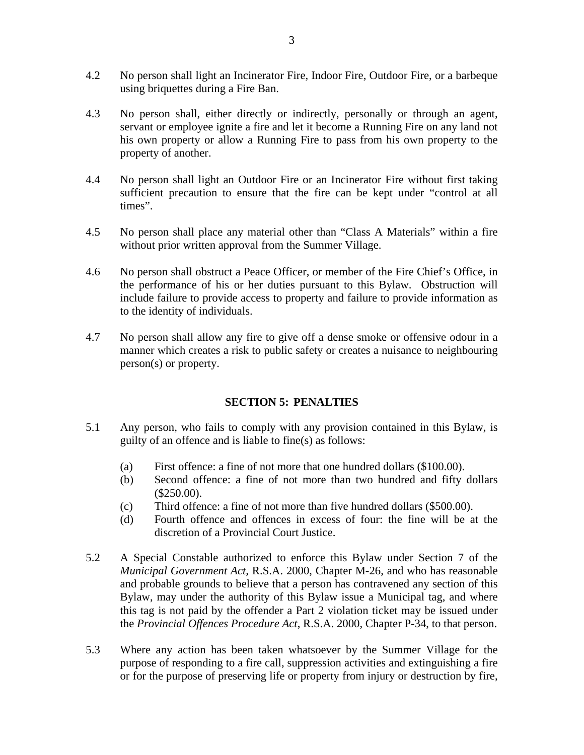- 4.2 No person shall light an Incinerator Fire, Indoor Fire, Outdoor Fire, or a barbeque using briquettes during a Fire Ban.
- 4.3 No person shall, either directly or indirectly, personally or through an agent, servant or employee ignite a fire and let it become a Running Fire on any land not his own property or allow a Running Fire to pass from his own property to the property of another.
- 4.4 No person shall light an Outdoor Fire or an Incinerator Fire without first taking sufficient precaution to ensure that the fire can be kept under "control at all times".
- 4.5 No person shall place any material other than "Class A Materials" within a fire without prior written approval from the Summer Village.
- 4.6 No person shall obstruct a Peace Officer, or member of the Fire Chief's Office, in the performance of his or her duties pursuant to this Bylaw. Obstruction will include failure to provide access to property and failure to provide information as to the identity of individuals.
- 4.7 No person shall allow any fire to give off a dense smoke or offensive odour in a manner which creates a risk to public safety or creates a nuisance to neighbouring person(s) or property.

### **SECTION 5: PENALTIES**

- 5.1 Any person, who fails to comply with any provision contained in this Bylaw, is guilty of an offence and is liable to fine(s) as follows:
	- (a) First offence: a fine of not more that one hundred dollars (\$100.00).
	- (b) Second offence: a fine of not more than two hundred and fifty dollars (\$250.00).
	- (c) Third offence: a fine of not more than five hundred dollars (\$500.00).
	- (d) Fourth offence and offences in excess of four: the fine will be at the discretion of a Provincial Court Justice.
- 5.2 A Special Constable authorized to enforce this Bylaw under Section 7 of the *Municipal Government Act,* R.S.A. 2000, Chapter M-26, and who has reasonable and probable grounds to believe that a person has contravened any section of this Bylaw, may under the authority of this Bylaw issue a Municipal tag, and where this tag is not paid by the offender a Part 2 violation ticket may be issued under the *Provincial Offences Procedure Act*, R.S.A. 2000, Chapter P-34, to that person.
- 5.3 Where any action has been taken whatsoever by the Summer Village for the purpose of responding to a fire call, suppression activities and extinguishing a fire or for the purpose of preserving life or property from injury or destruction by fire,